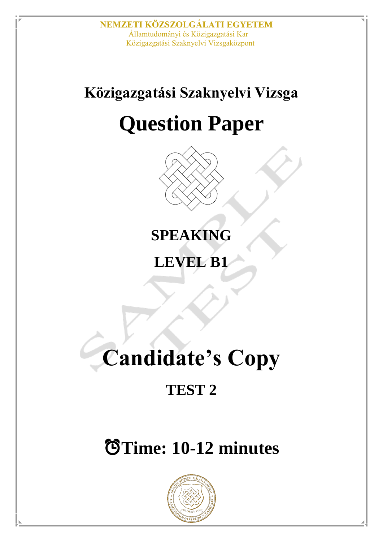# **Közigazgatási Szaknyelvi Vizsga**

## **Question Paper**



## **SPEAKING**

## **LEVEL B1**

## **Candidate's Copy**

## **TEST 2**

## ⏰**Time: 10-12 minutes**

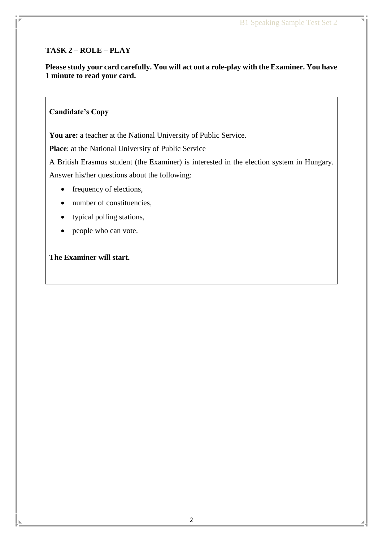### **TASK 2 – ROLE – PLAY**

**Please study your card carefully. You will act out a role-play with the Examiner. You have 1 minute to read your card.**

### **Candidate's Copy**

You are: a teacher at the National University of Public Service.

**Place**: at the National University of Public Service

A British Erasmus student (the Examiner) is interested in the election system in Hungary. Answer his/her questions about the following:

- frequency of elections,
- number of constituencies,
- typical polling stations,
- people who can vote.

### **The Examiner will start.**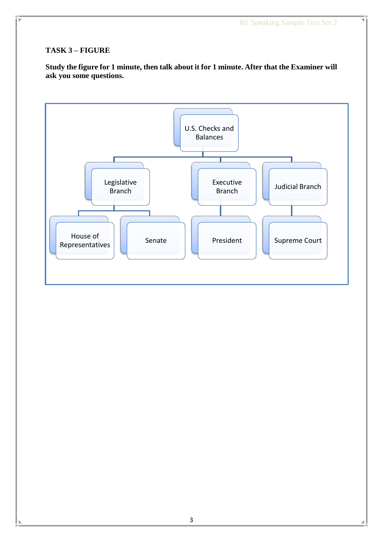### **TASK 3 – FIGURE**

**Study the figure for 1 minute, then talk about it for 1 minute. After that the Examiner will ask you some questions.** 

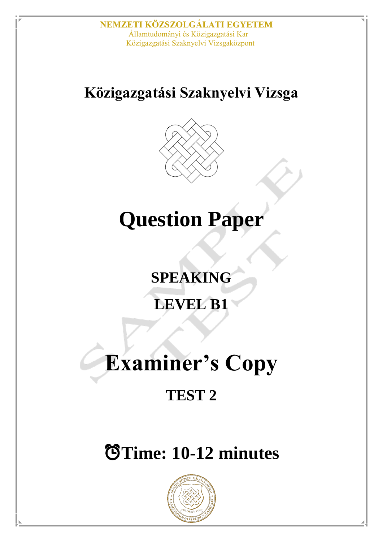### **Közigazgatási Szaknyelvi Vizsga**



## **Question Paper**

**SPEAKING**

**LEVEL B1**

## **Examiner's Copy**

### **TEST 2**

## ⏰**Time: 10-12 minutes**

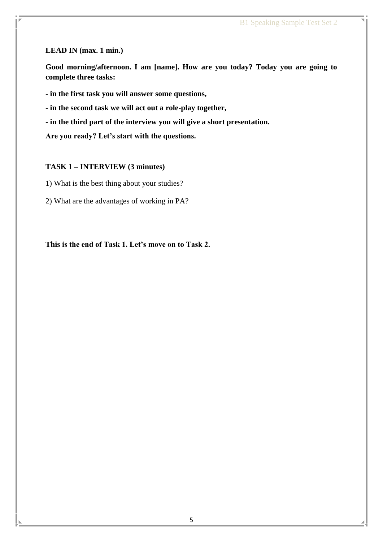### **LEAD IN (max. 1 min.)**

**Good morning/afternoon. I am [name]. How are you today? Today you are going to complete three tasks:**

**- in the first task you will answer some questions,**

**- in the second task we will act out a role-play together,**

**- in the third part of the interview you will give a short presentation.**

**Are you ready? Let's start with the questions.**

### **TASK 1 – INTERVIEW (3 minutes)**

1) What is the best thing about your studies?

2) What are the advantages of working in PA?

**This is the end of Task 1. Let's move on to Task 2.**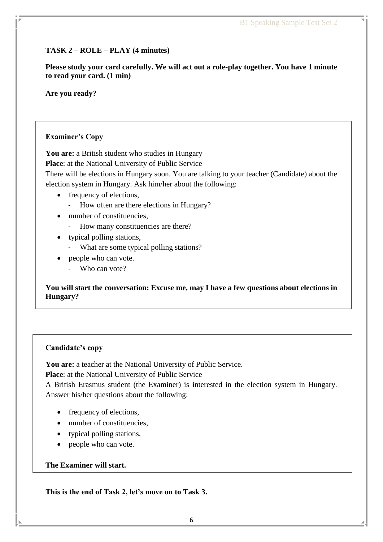### **TASK 2 – ROLE – PLAY (4 minutes)**

**Please study your card carefully. We will act out a role-play together. You have 1 minute to read your card. (1 min)** 

**Are you ready?**

### **Examiner's Copy**

You are: a British student who studies in Hungary **Place**: at the National University of Public Service There will be elections in Hungary soon. You are talking to your teacher (Candidate) about the election system in Hungary. Ask him/her about the following:

- frequency of elections,
	- How often are there elections in Hungary?
- number of constituencies.
	- How many constituencies are there?
- typical polling stations,
	- What are some typical polling stations?
- people who can vote.
	- Who can vote?

### **You will start the conversation: Excuse me, may I have a few questions about elections in Hungary?**

### **Candidate's copy**

**You are:** a teacher at the National University of Public Service.

**Place**: at the National University of Public Service

A British Erasmus student (the Examiner) is interested in the election system in Hungary. Answer his/her questions about the following:

- frequency of elections,
- number of constituencies.
- typical polling stations,
- people who can vote.

#### **The Examiner will start.**

**This is the end of Task 2, let's move on to Task 3.**